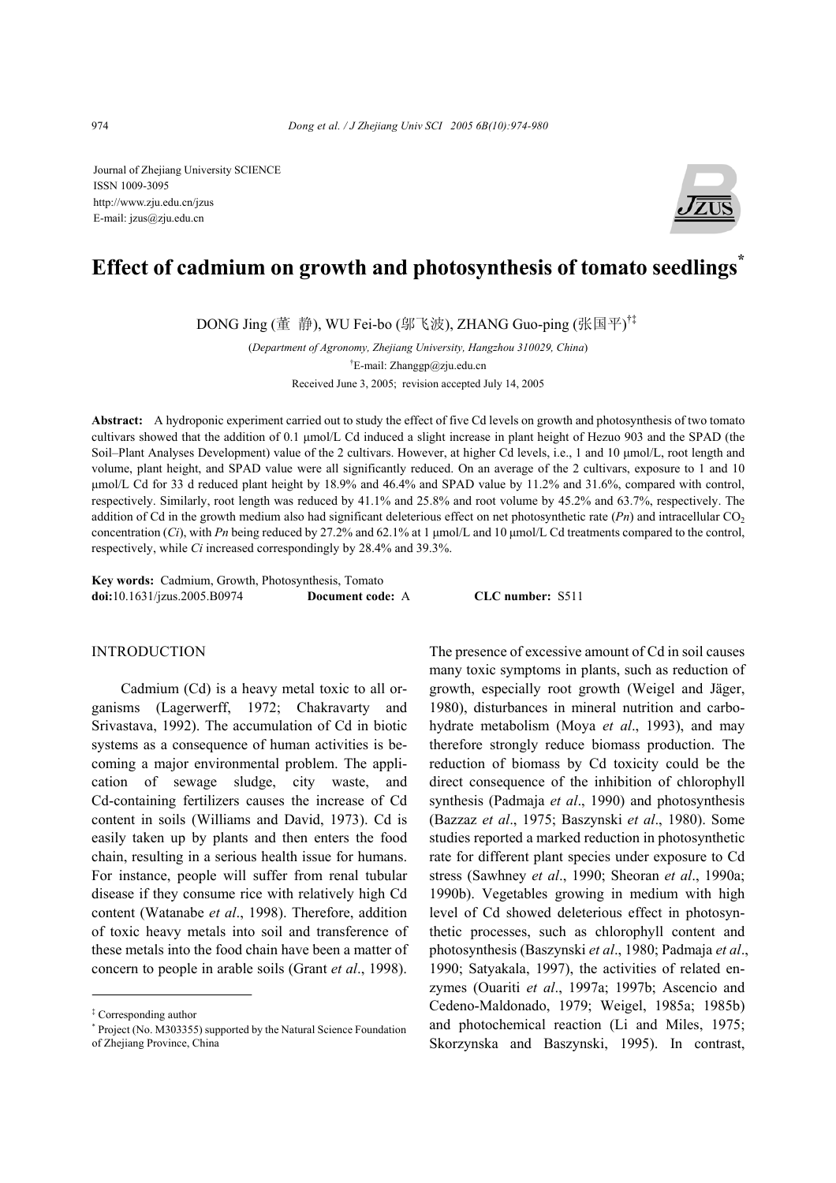Journal of Zhejiang University SCIENCE ISSN 1009-3095 http://www.zju.edu.cn/jzus E-mail: jzus@zju.edu.cn



# **Effect of cadmium on growth and photosynthesis of tomato seedlings\***

DONG Jing (董 静), WU Fei-bo (邬飞波), ZHANG Guo-ping (张国平) †‡

(*Department of Agronomy, Zhejiang University, Hangzhou 310029, China*) † E-mail: Zhanggp@zju.edu.cn Received June 3, 2005; revision accepted July 14, 2005

**Abstract:** A hydroponic experiment carried out to study the effect of five Cd levels on growth and photosynthesis of two tomato cultivars showed that the addition of 0.1 µmol/L Cd induced a slight increase in plant height of Hezuo 903 and the SPAD (the Soil–Plant Analyses Development) value of the 2 cultivars. However, at higher Cd levels, i.e., 1 and 10 µmol/L, root length and volume, plant height, and SPAD value were all significantly reduced. On an average of the 2 cultivars, exposure to 1 and 10 µmol/L Cd for 33 d reduced plant height by 18.9% and 46.4% and SPAD value by 11.2% and 31.6%, compared with control, respectively. Similarly, root length was reduced by 41.1% and 25.8% and root volume by 45.2% and 63.7%, respectively. The addition of Cd in the growth medium also had significant deleterious effect on net photosynthetic rate  $(Pn)$  and intracellular CO<sub>2</sub> concentration (*Ci*), with *Pn* being reduced by 27.2% and 62.1% at 1  $\mu$ mol/L and 10  $\mu$ mol/L Cd treatments compared to the control, respectively, while *Ci* increased correspondingly by 28.4% and 39.3%.

**Key words:** Cadmium, Growth, Photosynthesis, Tomato **doi:**10.1631/jzus.2005.B0974 **Document code:** A **CLC number:** S511

### INTRODUCTION

Cadmium (Cd) is a heavy metal toxic to all organisms (Lagerwerff, 1972; Chakravarty and Srivastava, 1992). The accumulation of Cd in biotic systems as a consequence of human activities is becoming a major environmental problem. The application of sewage sludge, city waste, and Cd-containing fertilizers causes the increase of Cd content in soils (Williams and David, 1973). Cd is easily taken up by plants and then enters the food chain, resulting in a serious health issue for humans. For instance, people will suffer from renal tubular disease if they consume rice with relatively high Cd content (Watanabe *et al*., 1998). Therefore, addition of toxic heavy metals into soil and transference of these metals into the food chain have been a matter of concern to people in arable soils (Grant *et al*., 1998).

The presence of excessive amount of Cd in soil causes many toxic symptoms in plants, such as reduction of growth, especially root growth (Weigel and Jäger, 1980), disturbances in mineral nutrition and carbohydrate metabolism (Moya *et al*., 1993), and may therefore strongly reduce biomass production. The reduction of biomass by Cd toxicity could be the direct consequence of the inhibition of chlorophyll synthesis (Padmaja *et al*., 1990) and photosynthesis (Bazzaz *et al*., 1975; Baszynski *et al*., 1980). Some studies reported a marked reduction in photosynthetic rate for different plant species under exposure to Cd stress (Sawhney *et al*., 1990; Sheoran *et al*., 1990a; 1990b). Vegetables growing in medium with high level of Cd showed deleterious effect in photosynthetic processes, such as chlorophyll content and photosynthesis (Baszynski *et al*., 1980; Padmaja *et al*., 1990; Satyakala, 1997), the activities of related enzymes (Ouariti *et al*., 1997a; 1997b; Ascencio and Cedeno-Maldonado, 1979; Weigel, 1985a; 1985b) and photochemical reaction (Li and Miles, 1975; Skorzynska and Baszynski, 1995). In contrast,

<sup>‡</sup> Corresponding author

<sup>\*</sup> Project (No. M303355) supported by the Natural Science Foundation of Zhejiang Province, China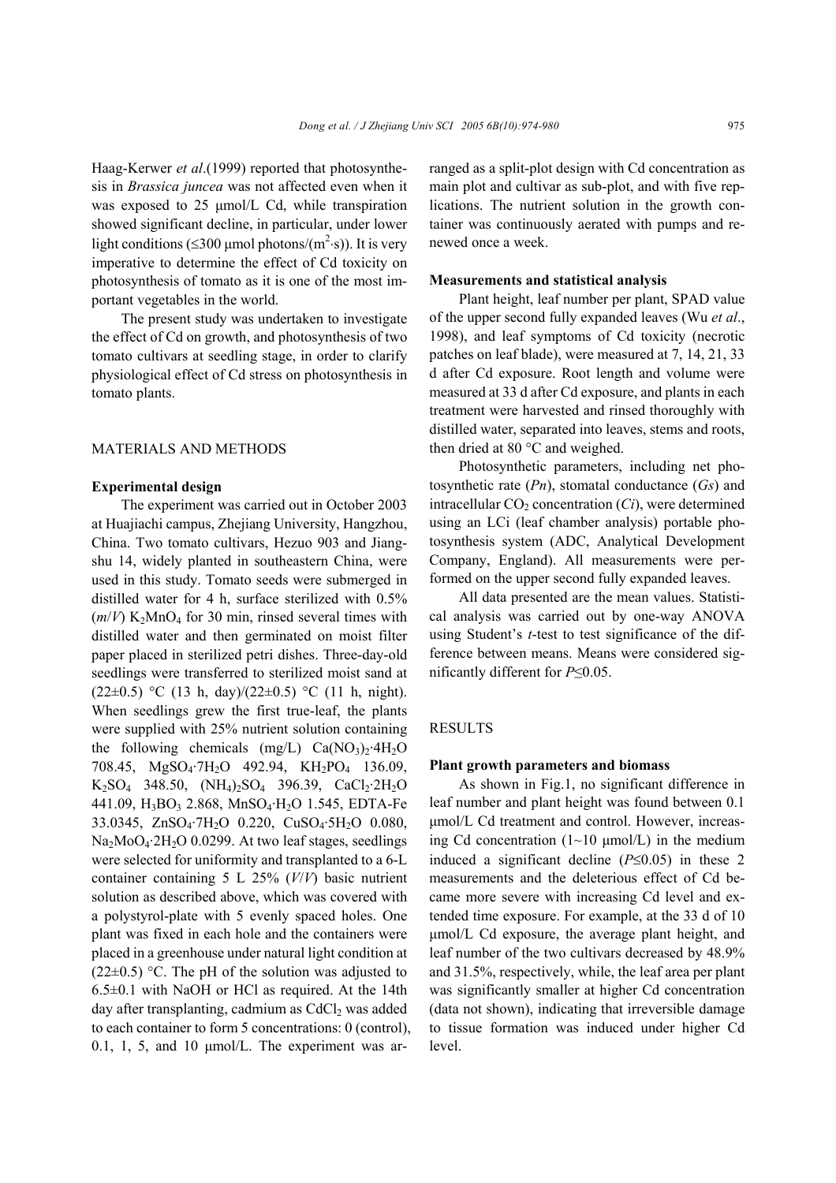Haag-Kerwer *et al*.(1999) reported that photosynthesis in *Brassica juncea* was not affected even when it was exposed to 25 µmol/L Cd, while transpiration showed significant decline, in particular, under lower light conditions ( $\leq$ 300 µmol photons/(m<sup>2</sup>·s)). It is very imperative to determine the effect of Cd toxicity on photosynthesis of tomato as it is one of the most important vegetables in the world.

The present study was undertaken to investigate the effect of Cd on growth, and photosynthesis of two tomato cultivars at seedling stage, in order to clarify physiological effect of Cd stress on photosynthesis in tomato plants.

#### MATERIALS AND METHODS

## **Experimental design**

The experiment was carried out in October 2003 at Huajiachi campus, Zhejiang University, Hangzhou, China. Two tomato cultivars, Hezuo 903 and Jiangshu 14, widely planted in southeastern China, were used in this study. Tomato seeds were submerged in distilled water for 4 h, surface sterilized with 0.5%  $(m/V)$  K<sub>2</sub>MnO<sub>4</sub> for 30 min, rinsed several times with distilled water and then germinated on moist filter paper placed in sterilized petri dishes. Three-day-old seedlings were transferred to sterilized moist sand at  $(22\pm0.5)$  °C (13 h, day)/(22 $\pm$ 0.5) °C (11 h, night). When seedlings grew the first true-leaf, the plants were supplied with 25% nutrient solution containing the following chemicals  $(mg/L)$  Ca(NO<sub>3</sub>)<sub>2</sub>·4H<sub>2</sub>O 708.45, MgSO4·7H2O 492.94, KH2PO4 136.09,  $K_2SO_4$  348.50,  $(NH_4)_2SO_4$  396.39,  $CaCl_2·2H_2O$ 441.09, H<sub>3</sub>BO<sub>3</sub> 2.868, MnSO<sub>4</sub>·H<sub>2</sub>O 1.545, EDTA-Fe 33.0345, ZnSO4·7H2O 0.220, CuSO4·5H2O 0.080, Na<sub>2</sub>MoO<sub>4</sub>·2H<sub>2</sub>O 0.0299. At two leaf stages, seedlings were selected for uniformity and transplanted to a 6-L container containing 5 L 25% (*V*/*V*) basic nutrient solution as described above, which was covered with a polystyrol-plate with 5 evenly spaced holes. One plant was fixed in each hole and the containers were placed in a greenhouse under natural light condition at  $(22\pm0.5)$  °C. The pH of the solution was adjusted to 6.5±0.1 with NaOH or HCl as required. At the 14th day after transplanting, cadmium as  $CdCl<sub>2</sub>$  was added to each container to form 5 concentrations: 0 (control), 0.1, 1, 5, and 10 µmol/L. The experiment was arranged as a split-plot design with Cd concentration as main plot and cultivar as sub-plot, and with five replications. The nutrient solution in the growth container was continuously aerated with pumps and renewed once a week.

#### **Measurements and statistical analysis**

Plant height, leaf number per plant, SPAD value of the upper second fully expanded leaves (Wu *et al*., 1998), and leaf symptoms of Cd toxicity (necrotic patches on leaf blade), were measured at 7, 14, 21, 33 d after Cd exposure. Root length and volume were measured at 33 d after Cd exposure, and plants in each treatment were harvested and rinsed thoroughly with distilled water, separated into leaves, stems and roots, then dried at 80 °C and weighed.

Photosynthetic parameters, including net photosynthetic rate (*Pn*), stomatal conductance (*Gs*) and intracellular  $CO<sub>2</sub>$  concentration  $(C<sub>i</sub>)$ , were determined using an LCi (leaf chamber analysis) portable photosynthesis system (ADC, Analytical Development Company, England). All measurements were performed on the upper second fully expanded leaves.

All data presented are the mean values. Statistical analysis was carried out by one-way ANOVA using Student's *t*-test to test significance of the difference between means. Means were considered significantly different for *P*≤0.05.

#### RESULTS

## **Plant growth parameters and biomass**

As shown in Fig.1, no significant difference in leaf number and plant height was found between 0.1 µmol/L Cd treatment and control. However, increasing Cd concentration  $(1~10 \text{ \mu mol/L})$  in the medium induced a significant decline (*P*≤0.05) in these 2 measurements and the deleterious effect of Cd became more severe with increasing Cd level and extended time exposure. For example, at the 33 d of 10 µmol/L Cd exposure, the average plant height, and leaf number of the two cultivars decreased by 48.9% and 31.5%, respectively, while, the leaf area per plant was significantly smaller at higher Cd concentration (data not shown), indicating that irreversible damage to tissue formation was induced under higher Cd level.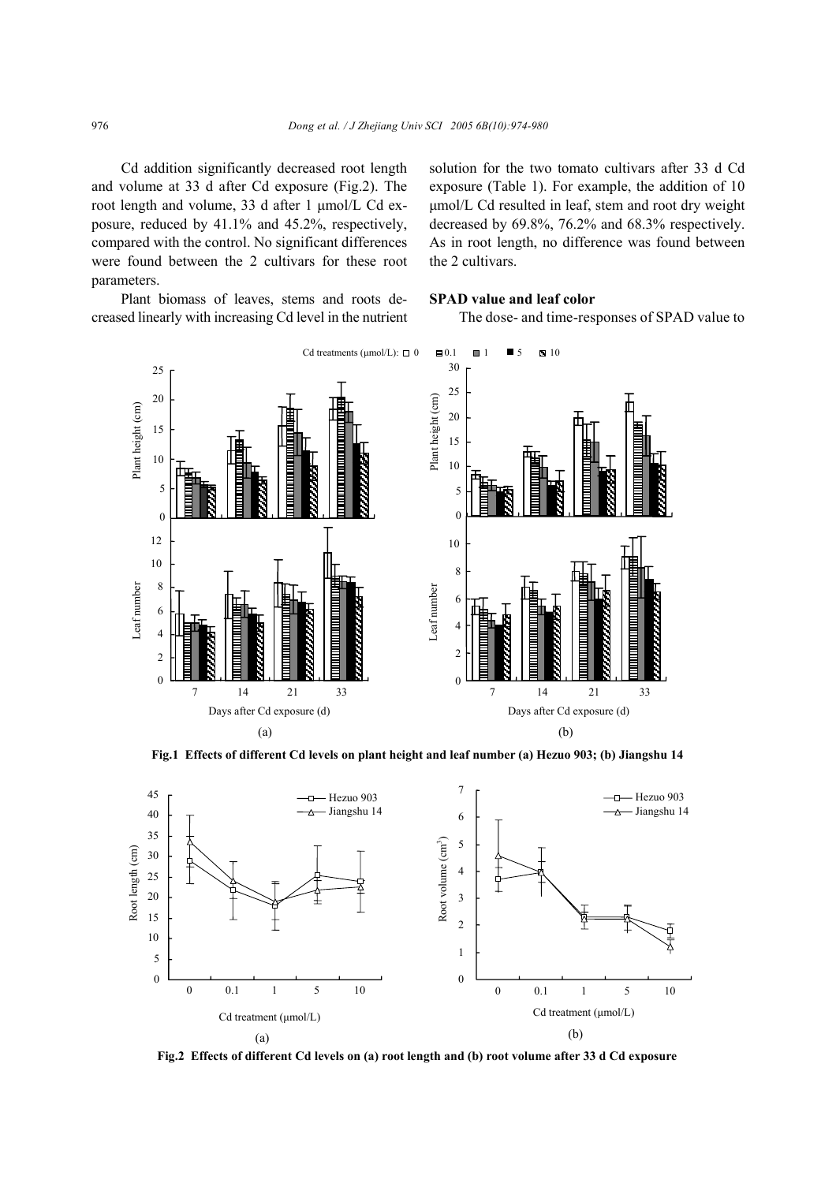Cd addition significantly decreased root length and volume at 33 d after Cd exposure (Fig.2). The root length and volume, 33 d after 1 µmol/L Cd exposure, reduced by 41.1% and 45.2%, respectively, compared with the control. No significant differences were found between the 2 cultivars for these root parameters.

Plant biomass of leaves, stems and roots decreased linearly with increasing Cd level in the nutrient solution for the two tomato cultivars after 33 d Cd exposure (Table 1). For example, the addition of 10 µmol/L Cd resulted in leaf, stem and root dry weight decreased by 69.8%, 76.2% and 68.3% respectively. As in root length, no difference was found between the 2 cultivars.

## **SPAD value and leaf color**

The dose- and time-responses of SPAD value to



**Fig.1 Effects of different Cd levels on plant height and leaf number (a) Hezuo 903; (b) Jiangshu 14** 



**Fig.2 Effects of different Cd levels on (a) root length and (b) root volume after 33 d Cd exposure**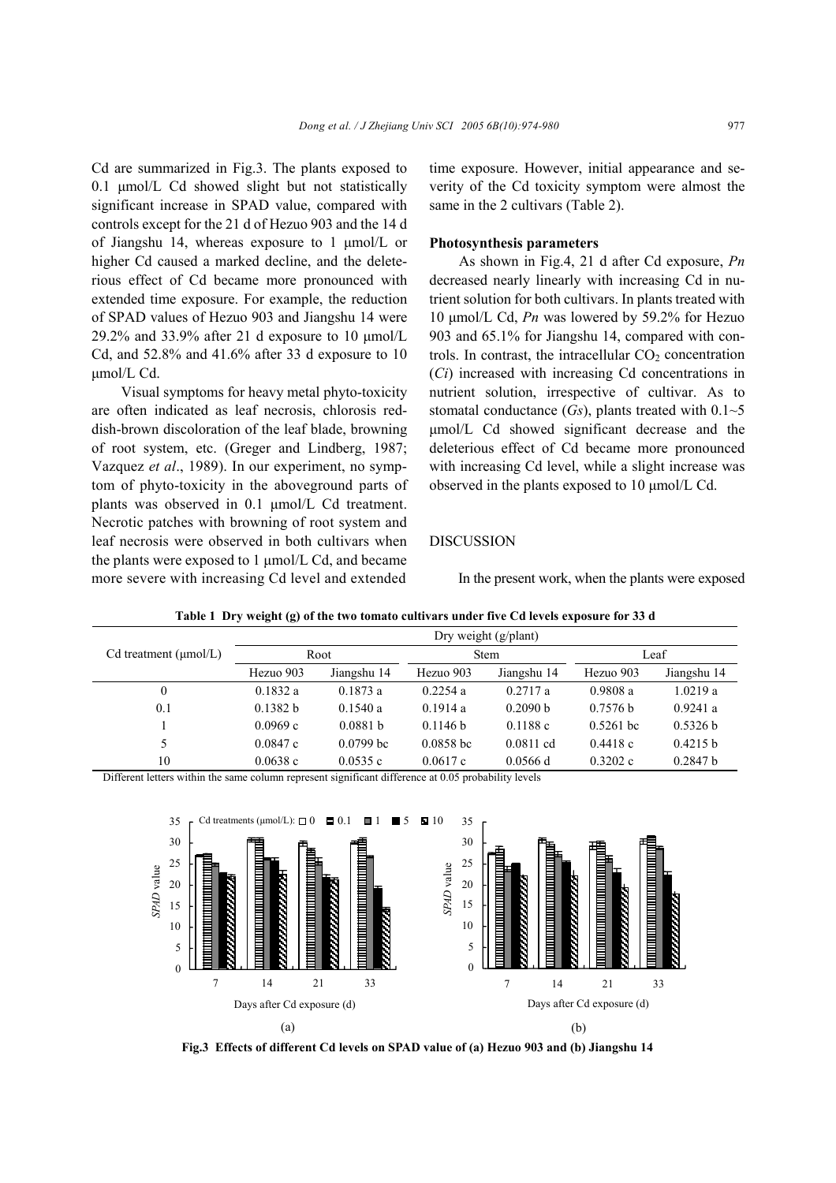Cd are summarized in Fig.3. The plants exposed to 0.1 µmol/L Cd showed slight but not statistically significant increase in SPAD value, compared with controls except for the 21 d of Hezuo 903 and the 14 d of Jiangshu 14, whereas exposure to 1 µmol/L or higher Cd caused a marked decline, and the deleterious effect of Cd became more pronounced with extended time exposure. For example, the reduction of SPAD values of Hezuo 903 and Jiangshu 14 were 29.2% and 33.9% after 21 d exposure to 10  $\mu$ mol/L Cd, and 52.8% and 41.6% after 33 d exposure to 10 µmol/L Cd.

Visual symptoms for heavy metal phyto-toxicity are often indicated as leaf necrosis, chlorosis reddish-brown discoloration of the leaf blade, browning of root system, etc. (Greger and Lindberg, 1987; Vazquez *et al*., 1989). In our experiment, no symptom of phyto-toxicity in the aboveground parts of plants was observed in 0.1 µmol/L Cd treatment. Necrotic patches with browning of root system and leaf necrosis were observed in both cultivars when the plants were exposed to  $1 \mu \text{mol/L Cd}$ , and became more severe with increasing Cd level and extended

time exposure. However, initial appearance and severity of the Cd toxicity symptom were almost the same in the 2 cultivars (Table 2).

### **Photosynthesis parameters**

As shown in Fig.4, 21 d after Cd exposure, *Pn* decreased nearly linearly with increasing Cd in nutrient solution for both cultivars. In plants treated with 10 µmol/L Cd, *Pn* was lowered by 59.2% for Hezuo 903 and 65.1% for Jiangshu 14, compared with controls. In contrast, the intracellular  $CO<sub>2</sub>$  concentration (*Ci*) increased with increasing Cd concentrations in nutrient solution, irrespective of cultivar. As to stomatal conductance  $(Gs)$ , plants treated with  $0.1~5$ µmol/L Cd showed significant decrease and the deleterious effect of Cd became more pronounced with increasing Cd level, while a slight increase was observed in the plants exposed to 10 µmol/L Cd.

### DISCUSSION

In the present work, when the plants were exposed

|                            | Dry weight $(g/\text{plant})$ |             |             |             |             |             |  |
|----------------------------|-------------------------------|-------------|-------------|-------------|-------------|-------------|--|
| Cd treatment $(\mu mol/L)$ | Root                          |             | <b>Stem</b> |             | Leaf        |             |  |
|                            | Hezuo 903                     | Jiangshu 14 | Hezuo 903   | Jiangshu 14 | Hezuo 903   | Jiangshu 14 |  |
| $\theta$                   | 0.1832a                       | 0.1873a     | 0.2254a     | 0.2717a     | 0.9808a     | 1.0219a     |  |
| 0.1                        | 0.1382 h                      | 0.1540a     | 0.1914a     | 0.2090 b    | 0.7576 h    | 0.9241a     |  |
|                            | 0.0969c                       | 0.0881 h    | 0.1146 h    | 0.1188c     | $0.5261$ bc | 0.5326 b    |  |
| 5                          | 0.0847c                       | $0.0799$ bc | $0.0858$ bc | $0.0811$ cd | 0.4418c     | 0.4215 b    |  |
| 10                         | 0.0638c                       | 0.0535c     | 0.0617c     | $0.0566$ d  | 0.3202c     | 0.2847 b    |  |

**Table 1 Dry weight (g) of the two tomato cultivars under five Cd levels exposure for 33 d** 

Different letters within the same column represent significant difference at 0.05 probability levels



**Fig.3 Effects of different Cd levels on SPAD value of (a) Hezuo 903 and (b) Jiangshu 14**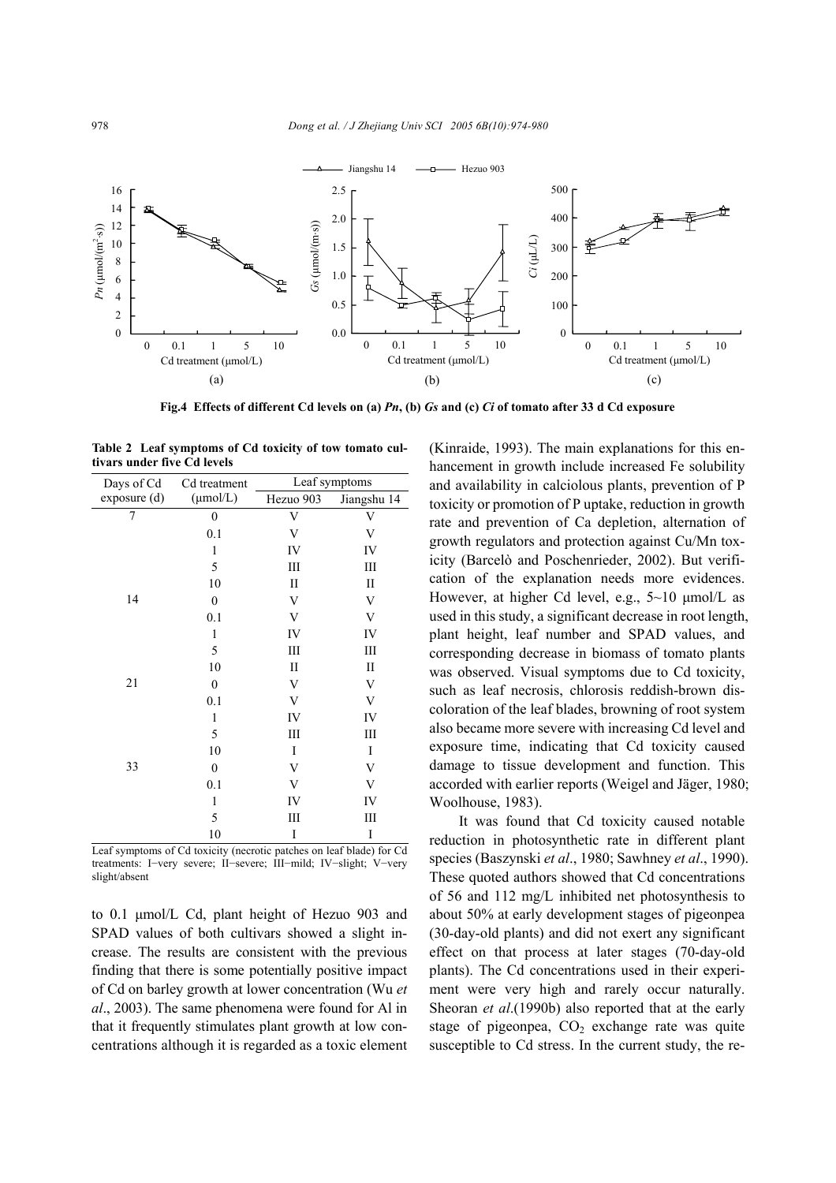

**Fig.4 Effects of different Cd levels on (a)** *Pn***, (b)** *Gs* **and (c)** *Ci* **of tomato after 33 d Cd exposure** 

| Days of Cd   | Cd treatment         |              | Leaf symptoms |  |  |
|--------------|----------------------|--------------|---------------|--|--|
| exposure (d) | $(\mu \text{mol/L})$ | Hezuo 903    | Jiangshu 14   |  |  |
| 7            | $\boldsymbol{0}$     | V            | V             |  |  |
|              | 0.1                  | V            | V             |  |  |
|              | 1                    | IV           | IV            |  |  |
|              | 5                    | Ш            | Ш             |  |  |
|              | 10                   | П            | П             |  |  |
| 14           | $\boldsymbol{0}$     | V            | V             |  |  |
|              | 0.1                  | V            | V             |  |  |
|              | 1                    | IV           | IV            |  |  |
|              | 5                    | Ш            | Ш             |  |  |
|              | 10                   | $\mathbf{I}$ | $\mathbf{I}$  |  |  |
| 21           | $\boldsymbol{0}$     | V            | V             |  |  |
|              | 0.1                  | V            | V             |  |  |
|              | 1                    | IV           | IV            |  |  |
|              | 5                    | Ш            | Ш             |  |  |
|              | 10                   | I            | I             |  |  |
| 33           | $\boldsymbol{0}$     | V            | V             |  |  |
|              | 0.1                  | V            | V             |  |  |
|              | 1                    | IV           | IV            |  |  |
|              | 5                    | Ш            | Ш             |  |  |
|              | 10                   | I            | I             |  |  |

**Table 2 Leaf symptoms of Cd toxicity of tow tomato cultivars under five Cd levels** 

Leaf symptoms of Cd toxicity (necrotic patches on leaf blade) for Cd treatments: I−very severe; II−severe; III−mild; IV−slight; V−very slight/absent

to 0.1 µmol/L Cd, plant height of Hezuo 903 and SPAD values of both cultivars showed a slight increase. The results are consistent with the previous finding that there is some potentially positive impact of Cd on barley growth at lower concentration (Wu *et al*., 2003). The same phenomena were found for Al in that it frequently stimulates plant growth at low concentrations although it is regarded as a toxic element (Kinraide, 1993). The main explanations for this enhancement in growth include increased Fe solubility and availability in calciolous plants, prevention of P toxicity or promotion of P uptake, reduction in growth rate and prevention of Ca depletion, alternation of growth regulators and protection against Cu/Mn toxicity (Barcelò and Poschenrieder, 2002). But verification of the explanation needs more evidences. However, at higher Cd level, e.g.,  $5{\sim}10$  µmol/L as used in this study, a significant decrease in root length, plant height, leaf number and SPAD values, and corresponding decrease in biomass of tomato plants was observed. Visual symptoms due to Cd toxicity, such as leaf necrosis, chlorosis reddish-brown discoloration of the leaf blades, browning of root system also became more severe with increasing Cd level and exposure time, indicating that Cd toxicity caused damage to tissue development and function. This accorded with earlier reports (Weigel and Jäger, 1980; Woolhouse, 1983).

It was found that Cd toxicity caused notable reduction in photosynthetic rate in different plant species (Baszynski *et al*., 1980; Sawhney *et al*., 1990). These quoted authors showed that Cd concentrations of 56 and 112 mg/L inhibited net photosynthesis to about 50% at early development stages of pigeonpea (30-day-old plants) and did not exert any significant effect on that process at later stages (70-day-old plants). The Cd concentrations used in their experiment were very high and rarely occur naturally. Sheoran *et al*.(1990b) also reported that at the early stage of pigeonpea,  $CO<sub>2</sub>$  exchange rate was quite susceptible to Cd stress. In the current study, the re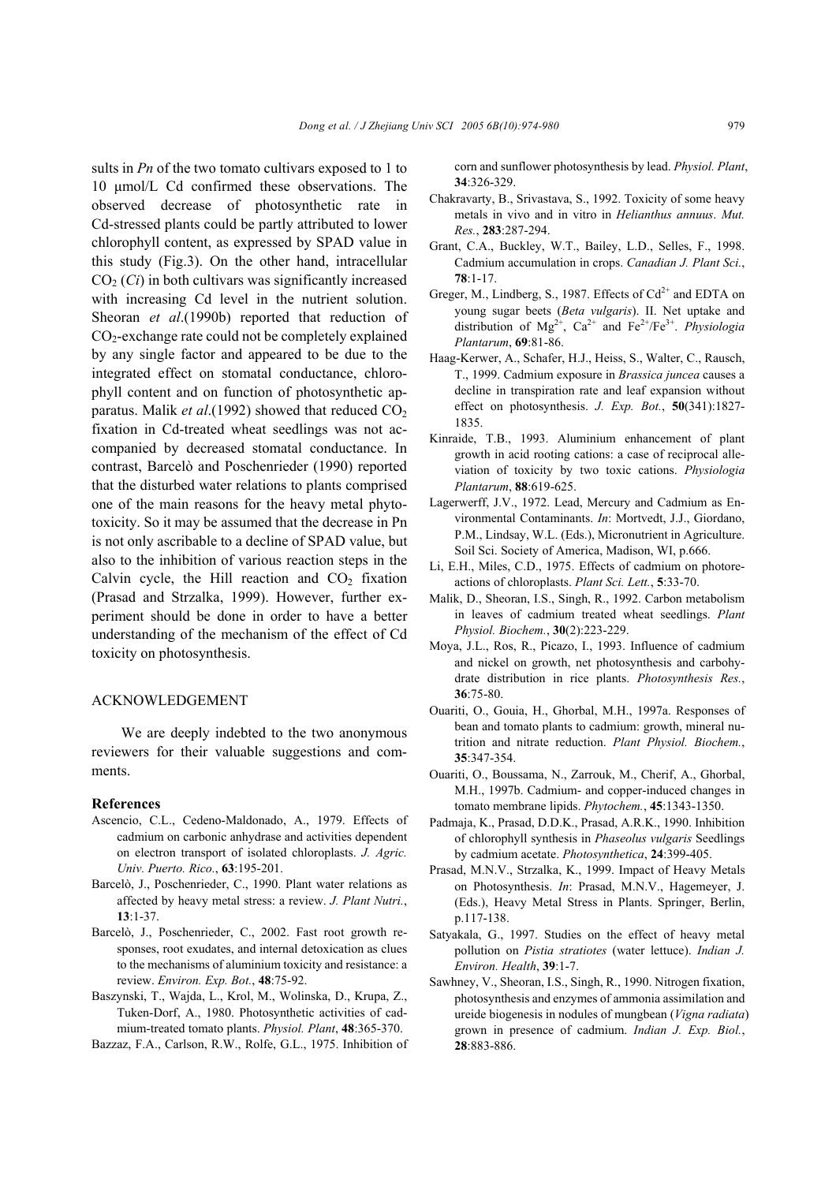sults in *Pn* of the two tomato cultivars exposed to 1 to 10 µmol/L Cd confirmed these observations. The observed decrease of photosynthetic rate in Cd-stressed plants could be partly attributed to lower chlorophyll content, as expressed by SPAD value in this study (Fig.3). On the other hand, intracellular  $CO<sub>2</sub>(Ci)$  in both cultivars was significantly increased with increasing Cd level in the nutrient solution. Sheoran *et al.*(1990b) reported that reduction of  $CO<sub>2</sub>$ -exchange rate could not be completely explained by any single factor and appeared to be due to the integrated effect on stomatal conductance, chlorophyll content and on function of photosynthetic apparatus. Malik *et al.*(1992) showed that reduced  $CO<sub>2</sub>$ fixation in Cd-treated wheat seedlings was not accompanied by decreased stomatal conductance. In contrast, Barcelò and Poschenrieder (1990) reported that the disturbed water relations to plants comprised one of the main reasons for the heavy metal phytotoxicity. So it may be assumed that the decrease in Pn is not only ascribable to a decline of SPAD value, but also to the inhibition of various reaction steps in the Calvin cycle, the Hill reaction and  $CO<sub>2</sub>$  fixation (Prasad and Strzalka, 1999). However, further experiment should be done in order to have a better understanding of the mechanism of the effect of Cd toxicity on photosynthesis.

# ACKNOWLEDGEMENT

We are deeply indebted to the two anonymous reviewers for their valuable suggestions and comments.

#### **References**

- Ascencio, C.L., Cedeno-Maldonado, A., 1979. Effects of cadmium on carbonic anhydrase and activities dependent on electron transport of isolated chloroplasts. *J. Agric. Univ. Puerto. Rico.*, **63**:195-201.
- Barcelò, J., Poschenrieder, C., 1990. Plant water relations as affected by heavy metal stress: a review. *J. Plant Nutri.*, **13**:1-37.
- Barcelò, J., Poschenrieder, C., 2002. Fast root growth responses, root exudates, and internal detoxication as clues to the mechanisms of aluminium toxicity and resistance: a review. *Environ. Exp. Bot.*, **48**:75-92.
- Baszynski, T., Wajda, L., Krol, M., Wolinska, D., Krupa, Z., Tuken-Dorf, A., 1980. Photosynthetic activities of cadmium-treated tomato plants. *Physiol. Plant*, **48**:365-370.
- Bazzaz, F.A., Carlson, R.W., Rolfe, G.L., 1975. Inhibition of

corn and sunflower photosynthesis by lead. *Physiol. Plant*, **34**:326-329.

- Chakravarty, B., Srivastava, S., 1992. Toxicity of some heavy metals in vivo and in vitro in *Helianthus annuus*. *Mut. Res.*, **283**:287-294.
- Grant, C.A., Buckley, W.T., Bailey, L.D., Selles, F., 1998. Cadmium accumulation in crops. *Canadian J. Plant Sci.*, **78**:1-17.
- Greger, M., Lindberg, S., 1987. Effects of  $Cd^{2+}$  and EDTA on young sugar beets (*Beta vulgaris*). II. Net uptake and distribution of Mg2+, Ca2+ and Fe2+/Fe3+. *Physiologia Plantarum*, **69**:81-86.
- Haag-Kerwer, A., Schafer, H.J., Heiss, S., Walter, C., Rausch, T., 1999. Cadmium exposure in *Brassica juncea* causes a decline in transpiration rate and leaf expansion without effect on photosynthesis. *J. Exp. Bot.*, **50**(341):1827- 1835.
- Kinraide, T.B., 1993. Aluminium enhancement of plant growth in acid rooting cations: a case of reciprocal alleviation of toxicity by two toxic cations. *Physiologia Plantarum*, **88**:619-625.
- Lagerwerff, J.V., 1972. Lead, Mercury and Cadmium as Environmental Contaminants. *In*: Mortvedt, J.J., Giordano, P.M., Lindsay, W.L. (Eds.), Micronutrient in Agriculture. Soil Sci. Society of America, Madison, WI, p.666.
- Li, E.H., Miles, C.D., 1975. Effects of cadmium on photoreactions of chloroplasts. *Plant Sci. Lett.*, **5**:33-70.
- Malik, D., Sheoran, I.S., Singh, R., 1992. Carbon metabolism in leaves of cadmium treated wheat seedlings. *Plant Physiol. Biochem.*, **30**(2):223-229.
- Moya, J.L., Ros, R., Picazo, I., 1993. Influence of cadmium and nickel on growth, net photosynthesis and carbohydrate distribution in rice plants. *Photosynthesis Res.*, **36**:75-80.
- Ouariti, O., Gouia, H., Ghorbal, M.H., 1997a. Responses of bean and tomato plants to cadmium: growth, mineral nutrition and nitrate reduction. *Plant Physiol. Biochem.*, **35**:347-354.
- Ouariti, O., Boussama, N., Zarrouk, M., Cherif, A., Ghorbal, M.H., 1997b. Cadmium- and copper-induced changes in tomato membrane lipids. *Phytochem.*, **45**:1343-1350.
- Padmaja, K., Prasad, D.D.K., Prasad, A.R.K., 1990. Inhibition of chlorophyll synthesis in *Phaseolus vulgaris* Seedlings by cadmium acetate. *Photosynthetica*, **24**:399-405.
- Prasad, M.N.V., Strzalka, K., 1999. Impact of Heavy Metals on Photosynthesis. *In*: Prasad, M.N.V., Hagemeyer, J. (Eds.), Heavy Metal Stress in Plants. Springer, Berlin, p.117-138.
- Satyakala, G., 1997. Studies on the effect of heavy metal pollution on *Pistia stratiotes* (water lettuce). *Indian J. Environ. Health*, **39**:1-7.
- Sawhney, V., Sheoran, I.S., Singh, R., 1990. Nitrogen fixation, photosynthesis and enzymes of ammonia assimilation and ureide biogenesis in nodules of mungbean (*Vigna radiata*) grown in presence of cadmium. *Indian J. Exp. Biol.*, **28**:883-886.